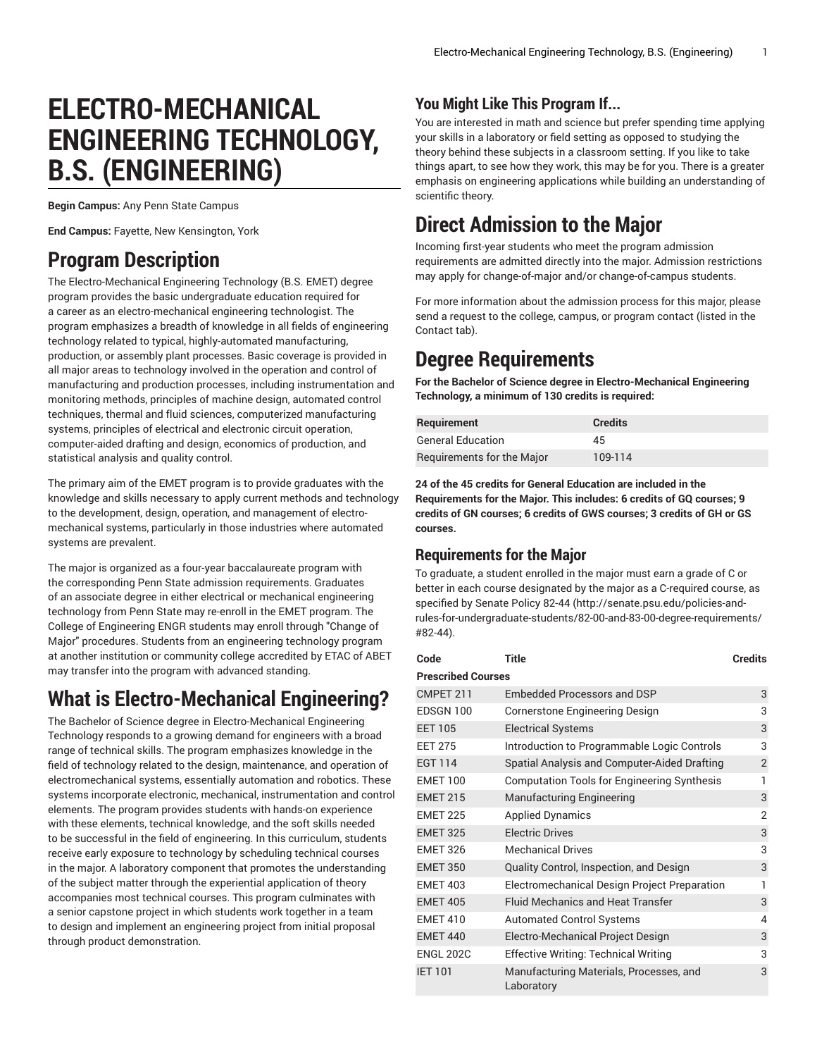# **ELECTRO-MECHANICAL ENGINEERING TECHNOLOGY, B.S. (ENGINEERING)**

**Begin Campus:** Any Penn State Campus

**End Campus:** Fayette, New Kensington, York

## **Program Description**

The Electro-Mechanical Engineering Technology (B.S. EMET) degree program provides the basic undergraduate education required for a career as an electro-mechanical engineering technologist. The program emphasizes a breadth of knowledge in all fields of engineering technology related to typical, highly-automated manufacturing, production, or assembly plant processes. Basic coverage is provided in all major areas to technology involved in the operation and control of manufacturing and production processes, including instrumentation and monitoring methods, principles of machine design, automated control techniques, thermal and fluid sciences, computerized manufacturing systems, principles of electrical and electronic circuit operation, computer-aided drafting and design, economics of production, and statistical analysis and quality control.

The primary aim of the EMET program is to provide graduates with the knowledge and skills necessary to apply current methods and technology to the development, design, operation, and management of electromechanical systems, particularly in those industries where automated systems are prevalent.

The major is organized as a four-year baccalaureate program with the corresponding Penn State admission requirements. Graduates of an associate degree in either electrical or mechanical engineering technology from Penn State may re-enroll in the EMET program. The College of Engineering ENGR students may enroll through "Change of Major" procedures. Students from an engineering technology program at another institution or community college accredited by ETAC of ABET may transfer into the program with advanced standing.

## **What is Electro-Mechanical Engineering?**

The Bachelor of Science degree in Electro-Mechanical Engineering Technology responds to a growing demand for engineers with a broad range of technical skills. The program emphasizes knowledge in the field of technology related to the design, maintenance, and operation of electromechanical systems, essentially automation and robotics. These systems incorporate electronic, mechanical, instrumentation and control elements. The program provides students with hands-on experience with these elements, technical knowledge, and the soft skills needed to be successful in the field of engineering. In this curriculum, students receive early exposure to technology by scheduling technical courses in the major. A laboratory component that promotes the understanding of the subject matter through the experiential application of theory accompanies most technical courses. This program culminates with a senior capstone project in which students work together in a team to design and implement an engineering project from initial proposal through product demonstration.

## **You Might Like This Program If...**

You are interested in math and science but prefer spending time applying your skills in a laboratory or field setting as opposed to studying the theory behind these subjects in a classroom setting. If you like to take things apart, to see how they work, this may be for you. There is a greater emphasis on engineering applications while building an understanding of scientific theory.

## **Direct Admission to the Major**

Incoming first-year students who meet the program admission requirements are admitted directly into the major. Admission restrictions may apply for change-of-major and/or change-of-campus students.

For more information about the admission process for this major, please send a request to the college, campus, or program contact (listed in the Contact tab).

## **Degree Requirements**

**For the Bachelor of Science degree in Electro-Mechanical Engineering Technology, a minimum of 130 credits is required:**

| Requirement                | <b>Credits</b> |
|----------------------------|----------------|
| <b>General Education</b>   | 45             |
| Requirements for the Major | 109-114        |

**24 of the 45 credits for General Education are included in the Requirements for the Major. This includes: 6 credits of GQ courses; 9 credits of GN courses; 6 credits of GWS courses; 3 credits of GH or GS courses.**

## **Requirements for the Major**

To graduate, a student enrolled in the major must earn a grade of C or better in each course designated by the major as a C-required course, as specified by [Senate](http://senate.psu.edu/policies-and-rules-for-undergraduate-students/82-00-and-83-00-degree-requirements/#82-44) Policy 82-44 [\(http://senate.psu.edu/policies-and](http://senate.psu.edu/policies-and-rules-for-undergraduate-students/82-00-and-83-00-degree-requirements/#82-44)[rules-for-undergraduate-students/82-00-and-83-00-degree-requirements/](http://senate.psu.edu/policies-and-rules-for-undergraduate-students/82-00-and-83-00-degree-requirements/#82-44) [#82-44\)](http://senate.psu.edu/policies-and-rules-for-undergraduate-students/82-00-and-83-00-degree-requirements/#82-44).

| Code                      | Title                                                 | <b>Credits</b> |
|---------------------------|-------------------------------------------------------|----------------|
| <b>Prescribed Courses</b> |                                                       |                |
| CMPET 211                 | <b>Embedded Processors and DSP</b>                    | 3              |
| EDSGN 100                 | Cornerstone Engineering Design                        | 3              |
| <b>EET 105</b>            | <b>Electrical Systems</b>                             | 3              |
| <b>FFT 275</b>            | Introduction to Programmable Logic Controls           | 3              |
| <b>EGT 114</b>            | Spatial Analysis and Computer-Aided Drafting          | $\overline{2}$ |
| <b>EMET 100</b>           | <b>Computation Tools for Engineering Synthesis</b>    | 1              |
| <b>EMET 215</b>           | <b>Manufacturing Engineering</b>                      | 3              |
| <b>FMFT 225</b>           | <b>Applied Dynamics</b>                               | $\overline{2}$ |
| <b>EMET 325</b>           | <b>Electric Drives</b>                                | 3              |
| <b>EMET 326</b>           | <b>Mechanical Drives</b>                              | 3              |
| <b>EMET 350</b>           | Quality Control, Inspection, and Design               | 3              |
| <b>EMET 403</b>           | Electromechanical Design Project Preparation          | 1              |
| <b>EMET 405</b>           | <b>Fluid Mechanics and Heat Transfer</b>              | 3              |
| <b>EMET 410</b>           | <b>Automated Control Systems</b>                      | 4              |
| <b>EMET 440</b>           | Electro-Mechanical Project Design                     | 3              |
| <b>ENGL 202C</b>          | <b>Effective Writing: Technical Writing</b>           | 3              |
| <b>IET 101</b>            | Manufacturing Materials, Processes, and<br>Laboratory | 3              |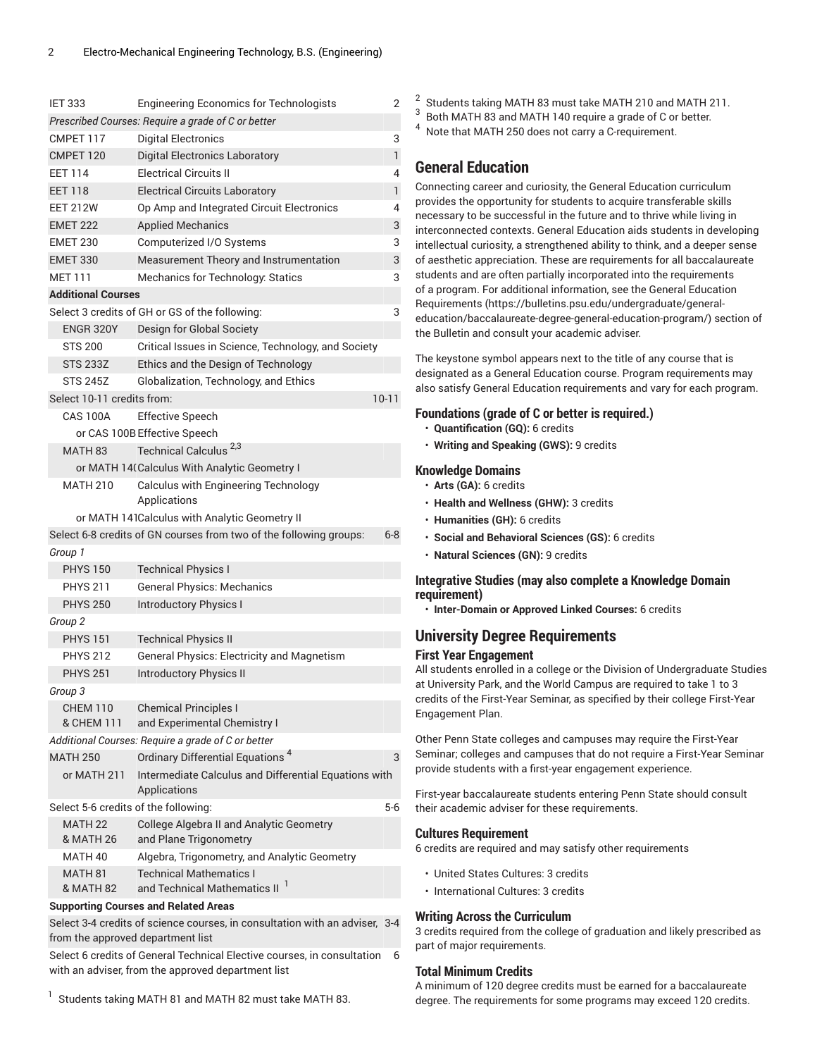| <b>IET 333</b>                             | <b>Engineering Economics for Technologists</b>                              | 2            |
|--------------------------------------------|-----------------------------------------------------------------------------|--------------|
|                                            | Prescribed Courses: Require a grade of C or better                          |              |
| CMPET 117                                  | <b>Digital Electronics</b>                                                  | 3            |
| CMPET 120                                  | <b>Digital Electronics Laboratory</b>                                       | $\mathbf{1}$ |
| <b>FFT 114</b>                             | <b>Electrical Circuits II</b>                                               | 4            |
| <b>EET 118</b>                             | <b>Electrical Circuits Laboratory</b>                                       | $\mathbf{1}$ |
| <b>EET 212W</b>                            | Op Amp and Integrated Circuit Electronics                                   | 4            |
| <b>EMET 222</b>                            | <b>Applied Mechanics</b>                                                    | 3            |
| <b>EMET 230</b>                            | Computerized I/O Systems                                                    | 3            |
| <b>EMET 330</b>                            | Measurement Theory and Instrumentation                                      | 3            |
| <b>MFT111</b>                              | Mechanics for Technology: Statics                                           | 3            |
| <b>Additional Courses</b>                  |                                                                             |              |
|                                            | Select 3 credits of GH or GS of the following:                              | 3            |
| <b>ENGR 320Y</b>                           | Design for Global Society                                                   |              |
| <b>STS 200</b>                             | Critical Issues in Science, Technology, and Society                         |              |
| <b>STS 233Z</b>                            | Ethics and the Design of Technology                                         |              |
| <b>STS 245Z</b>                            | Globalization, Technology, and Ethics                                       |              |
| Select 10-11 credits from:                 |                                                                             | $10 - 11$    |
| CAS 100A                                   | <b>Effective Speech</b>                                                     |              |
|                                            | or CAS 100B Effective Speech                                                |              |
| <b>MATH 83</b>                             | Technical Calculus <sup>2,3</sup>                                           |              |
|                                            | or MATH 14(Calculus With Analytic Geometry I                                |              |
| <b>MATH 210</b>                            | Calculus with Engineering Technology<br>Applications                        |              |
|                                            | or MATH 141Calculus with Analytic Geometry II                               |              |
|                                            | Select 6-8 credits of GN courses from two of the following groups:          | $6 - 8$      |
| Group 1                                    |                                                                             |              |
|                                            |                                                                             |              |
| <b>PHYS 150</b>                            | <b>Technical Physics I</b>                                                  |              |
| <b>PHYS 211</b>                            | <b>General Physics: Mechanics</b>                                           |              |
| <b>PHYS 250</b>                            | <b>Introductory Physics I</b>                                               |              |
| Group <sub>2</sub>                         |                                                                             |              |
| <b>PHYS 151</b>                            | <b>Technical Physics II</b>                                                 |              |
| <b>PHYS 212</b>                            | <b>General Physics: Electricity and Magnetism</b>                           |              |
| <b>PHYS 251</b>                            | <b>Introductory Physics II</b>                                              |              |
| Group 3                                    |                                                                             |              |
| <b>CHEM 110</b>                            | <b>Chemical Principles I</b>                                                |              |
| & CHEM 111                                 | and Experimental Chemistry I                                                |              |
|                                            | Additional Courses: Require a grade of C or better                          |              |
| <b>MATH 250</b>                            | Ordinary Differential Equations <sup>4</sup>                                | 3            |
| or MATH 211                                | Intermediate Calculus and Differential Equations with<br>Applications       |              |
| Select 5-6 credits of the following:       |                                                                             | $5-6$        |
| MATH <sub>22</sub><br><b>&amp; MATH 26</b> | College Algebra II and Analytic Geometry<br>and Plane Trigonometry          |              |
| MATH 40                                    | Algebra, Trigonometry, and Analytic Geometry                                |              |
| MATH 81<br>& MATH 82                       | <b>Technical Mathematics I</b><br>and Technical Mathematics II <sup>1</sup> |              |
|                                            | <b>Supporting Courses and Related Areas</b>                                 |              |

from the approved department list Select 6 credits of General Technical Elective courses, in consultation 6

with an adviser, from the approved department list

1 Students taking MATH 81 and MATH 82 must take MATH 83.

- 2 Students taking MATH 83 must take MATH 210 and MATH 211.
- 3 Both MATH 83 and MATH 140 require a grade of C or better.
- <sup>4</sup> Note that MATH 250 does not carry a C-requirement.

## **General Education**

Connecting career and curiosity, the General Education curriculum provides the opportunity for students to acquire transferable skills necessary to be successful in the future and to thrive while living in interconnected contexts. General Education aids students in developing intellectual curiosity, a strengthened ability to think, and a deeper sense of aesthetic appreciation. These are requirements for all baccalaureate students and are often partially incorporated into the requirements of a program. For additional information, see the General [Education](https://bulletins.psu.edu/undergraduate/general-education/baccalaureate-degree-general-education-program/) [Requirements \(https://bulletins.psu.edu/undergraduate/general](https://bulletins.psu.edu/undergraduate/general-education/baccalaureate-degree-general-education-program/)[education/baccalaureate-degree-general-education-program/\)](https://bulletins.psu.edu/undergraduate/general-education/baccalaureate-degree-general-education-program/) section of the Bulletin and consult your academic adviser.

The keystone symbol appears next to the title of any course that is designated as a General Education course. Program requirements may also satisfy General Education requirements and vary for each program.

### **Foundations (grade of C or better is required.)**

- **Quantification (GQ):** 6 credits
- **Writing and Speaking (GWS):** 9 credits

### **Knowledge Domains**

- **Arts (GA):** 6 credits
- **Health and Wellness (GHW):** 3 credits
- **Humanities (GH):** 6 credits
- **Social and Behavioral Sciences (GS):** 6 credits
- **Natural Sciences (GN):** 9 credits

### **Integrative Studies (may also complete a Knowledge Domain requirement)**

• **Inter-Domain or Approved Linked Courses:** 6 credits

## **University Degree Requirements**

### **First Year Engagement**

All students enrolled in a college or the Division of Undergraduate Studies at University Park, and the World Campus are required to take 1 to 3 credits of the First-Year Seminar, as specified by their college First-Year Engagement Plan.

Other Penn State colleges and campuses may require the First-Year Seminar; colleges and campuses that do not require a First-Year Seminar provide students with a first-year engagement experience.

First-year baccalaureate students entering Penn State should consult their academic adviser for these requirements.

### **Cultures Requirement**

6 credits are required and may satisfy other requirements

- United States Cultures: 3 credits
- International Cultures: 3 credits

### **Writing Across the Curriculum**

3 credits required from the college of graduation and likely prescribed as part of major requirements.

### **Total Minimum Credits**

A minimum of 120 degree credits must be earned for a baccalaureate degree. The requirements for some programs may exceed 120 credits.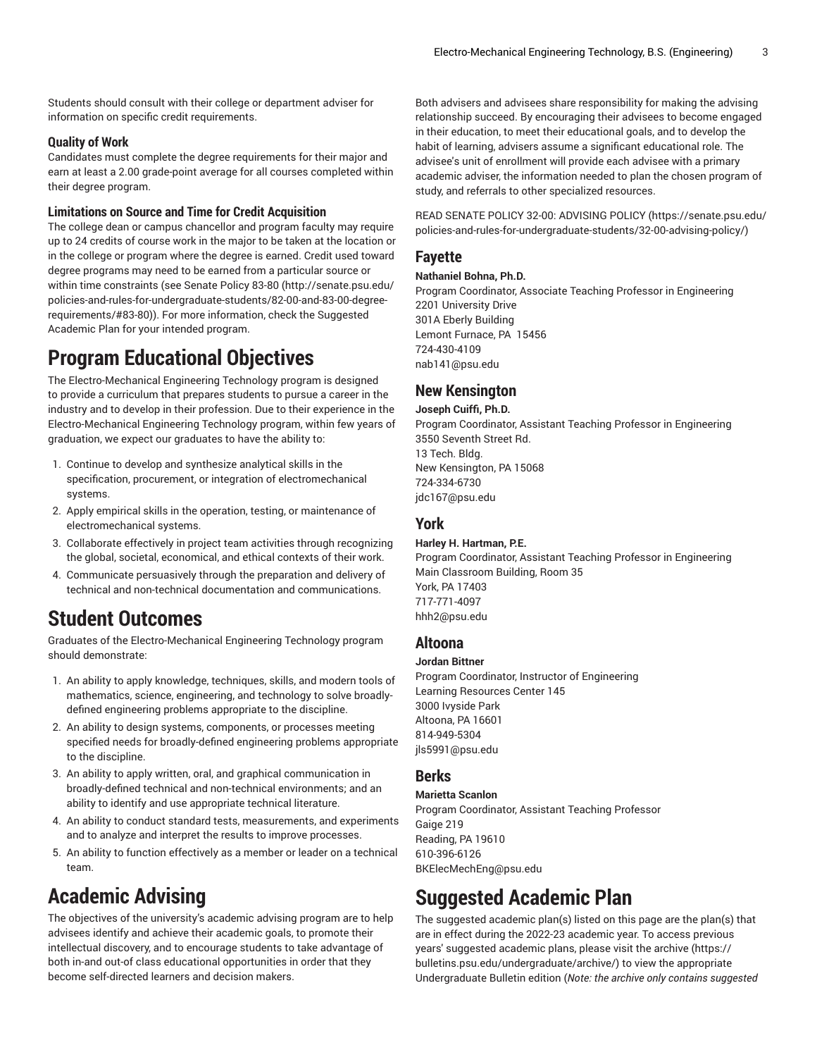Students should consult with their college or department adviser for information on specific credit requirements.

### **Quality of Work**

Candidates must complete the degree requirements for their major and earn at least a 2.00 grade-point average for all courses completed within their degree program.

### **Limitations on Source and Time for Credit Acquisition**

The college dean or campus chancellor and program faculty may require up to 24 credits of course work in the major to be taken at the location or in the college or program where the degree is earned. Credit used toward degree programs may need to be earned from a particular source or within time constraints (see [Senate](http://senate.psu.edu/policies-and-rules-for-undergraduate-students/82-00-and-83-00-degree-requirements/#83-80) Policy 83-80 ([http://senate.psu.edu/](http://senate.psu.edu/policies-and-rules-for-undergraduate-students/82-00-and-83-00-degree-requirements/#83-80) [policies-and-rules-for-undergraduate-students/82-00-and-83-00-degree](http://senate.psu.edu/policies-and-rules-for-undergraduate-students/82-00-and-83-00-degree-requirements/#83-80)[requirements/#83-80](http://senate.psu.edu/policies-and-rules-for-undergraduate-students/82-00-and-83-00-degree-requirements/#83-80))). For more information, check the Suggested Academic Plan for your intended program.

## **Program Educational Objectives**

The Electro-Mechanical Engineering Technology program is designed to provide a curriculum that prepares students to pursue a career in the industry and to develop in their profession. Due to their experience in the Electro-Mechanical Engineering Technology program, within few years of graduation, we expect our graduates to have the ability to:

- 1. Continue to develop and synthesize analytical skills in the specification, procurement, or integration of electromechanical systems.
- 2. Apply empirical skills in the operation, testing, or maintenance of electromechanical systems.
- 3. Collaborate effectively in project team activities through recognizing the global, societal, economical, and ethical contexts of their work.
- 4. Communicate persuasively through the preparation and delivery of technical and non-technical documentation and communications.

## **Student Outcomes**

Graduates of the Electro-Mechanical Engineering Technology program should demonstrate:

- 1. An ability to apply knowledge, techniques, skills, and modern tools of mathematics, science, engineering, and technology to solve broadlydefined engineering problems appropriate to the discipline.
- 2. An ability to design systems, components, or processes meeting specified needs for broadly-defined engineering problems appropriate to the discipline.
- 3. An ability to apply written, oral, and graphical communication in broadly-defined technical and non-technical environments; and an ability to identify and use appropriate technical literature.
- 4. An ability to conduct standard tests, measurements, and experiments and to analyze and interpret the results to improve processes.
- 5. An ability to function effectively as a member or leader on a technical team.

## **Academic Advising**

The objectives of the university's academic advising program are to help advisees identify and achieve their academic goals, to promote their intellectual discovery, and to encourage students to take advantage of both in-and out-of class educational opportunities in order that they become self-directed learners and decision makers.

Both advisers and advisees share responsibility for making the advising relationship succeed. By encouraging their advisees to become engaged in their education, to meet their educational goals, and to develop the habit of learning, advisers assume a significant educational role. The advisee's unit of enrollment will provide each advisee with a primary academic adviser, the information needed to plan the chosen program of study, and referrals to other specialized resources.

READ SENATE POLICY 32-00: [ADVISING](https://senate.psu.edu/policies-and-rules-for-undergraduate-students/32-00-advising-policy/) POLICY ([https://senate.psu.edu/](https://senate.psu.edu/policies-and-rules-for-undergraduate-students/32-00-advising-policy/) [policies-and-rules-for-undergraduate-students/32-00-advising-policy/](https://senate.psu.edu/policies-and-rules-for-undergraduate-students/32-00-advising-policy/))

## **Fayette**

#### **Nathaniel Bohna, Ph.D.**

Program Coordinator, Associate Teaching Professor in Engineering 2201 University Drive 301A Eberly Building Lemont Furnace, PA 15456 724-430-4109 [nab141@psu.edu](mailto:nab141@psu.edu)

## **New Kensington**

### **Joseph Cuiffi, Ph.D.**

Program Coordinator, Assistant Teaching Professor in Engineering 3550 Seventh Street Rd. 13 Tech. Bldg. New Kensington, PA 15068 724-334-6730 [jdc167@psu.edu](mailto:jdc167@psu.edu)

### **York**

### **Harley H. Hartman, P.E.**

Program Coordinator, Assistant Teaching Professor in Engineering Main Classroom Building, Room 35 York, PA 17403 717-771-4097 [hhh2@psu.edu](mailto:hhh2@psu.edu)

### **Altoona**

### **Jordan Bittner**

Program Coordinator, Instructor of Engineering Learning Resources Center 145 3000 Ivyside Park Altoona, PA 16601 814-949-5304 [jls5991@psu.edu](mailto:jls5991@psu.edu)

### **Berks**

### **Marietta Scanlon**

Program Coordinator, Assistant Teaching Professor Gaige 219 Reading, PA 19610 610-396-6126 [BKElecMechEng@psu.edu](mailto:BKElecMechEng@psu.edu)

## **Suggested Academic Plan**

The suggested academic plan(s) listed on this page are the plan(s) that are in effect during the 2022-23 academic year. To access previous years' suggested academic plans, please visit the [archive](https://bulletins.psu.edu/undergraduate/archive/) ([https://](https://bulletins.psu.edu/undergraduate/archive/) [bulletins.psu.edu/undergraduate/archive/\)](https://bulletins.psu.edu/undergraduate/archive/) to view the appropriate Undergraduate Bulletin edition (*Note: the archive only contains suggested*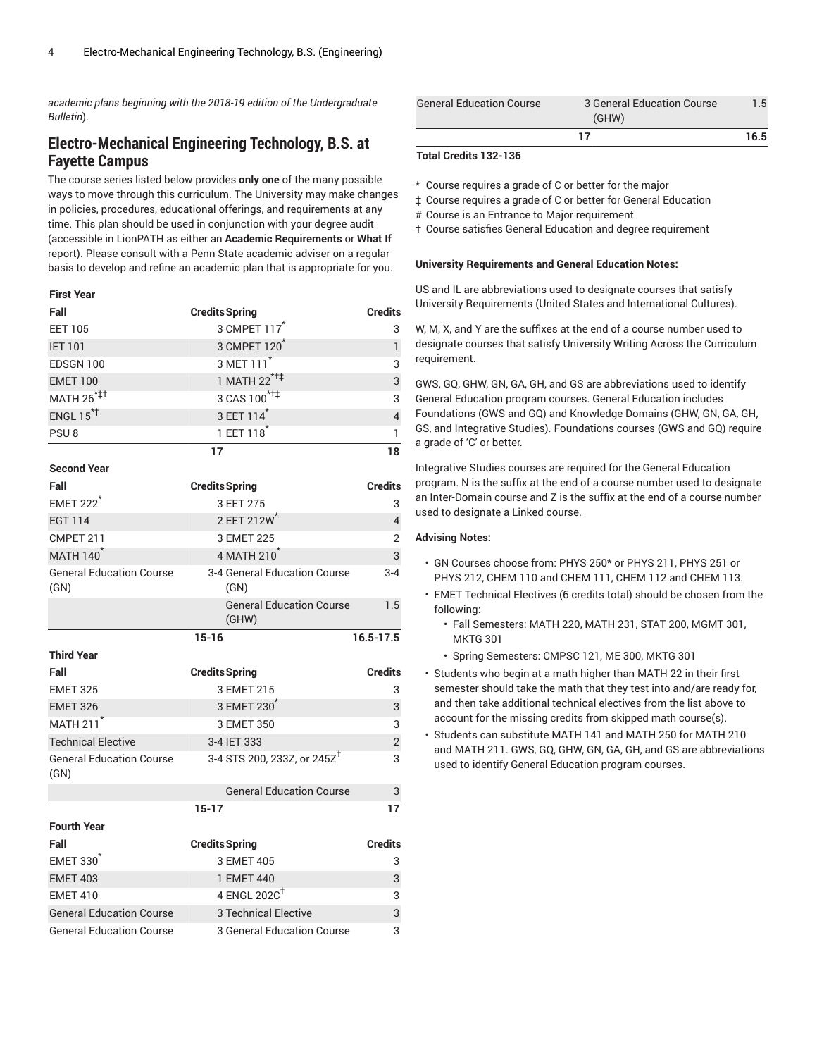*academic plans beginning with the 2018-19 edition of the Undergraduate Bulletin*).

## **Electro-Mechanical Engineering Technology, B.S. at Fayette Campus**

The course series listed below provides **only one** of the many possible ways to move through this curriculum. The University may make changes in policies, procedures, educational offerings, and requirements at any time. This plan should be used in conjunction with your degree audit (accessible in LionPATH as either an **Academic Requirements** or **What If** report). Please consult with a Penn State academic adviser on a regular basis to develop and refine an academic plan that is appropriate for you.

### **First Year**

| Fall                    | <b>Credits Spring</b>    | <b>Credits</b> |
|-------------------------|--------------------------|----------------|
| <b>EET 105</b>          | 3 CMPET 117 <sup>*</sup> | 3              |
| <b>IET 101</b>          | 3 CMPET 120              |                |
| EDSGN 100               | 3 MET 111 <sup>*</sup>   | 3              |
| <b>EMET 100</b>         | 1 MATH 22 <sup>*†‡</sup> | 3              |
| MATH 26 <sup>*‡+</sup>  | 3 CAS 100* <sup>††</sup> | 3              |
| ENGL $15$ <sup>*+</sup> | 3 EET 114*               | $\overline{4}$ |
| PSU <sub>8</sub>        | 1 EET 118 <sup>*</sup>   |                |
|                         | 17                       | 18             |
| <b>Second Year</b>      |                          |                |

| Fall                                    | <b>Credits Spring</b>                    | <b>Credits</b> |
|-----------------------------------------|------------------------------------------|----------------|
| <b>EMET 222<sup>*</sup></b>             | 3 EET 275                                | 3              |
| <b>EGT 114</b>                          | 2 EET 212W                               | $\overline{4}$ |
| CMPET 211                               | 3 EMET 225                               | $\overline{2}$ |
| <b>MATH 140<sup>*</sup></b>             | 4 MATH 210 <sup>*</sup>                  | 3              |
| <b>General Education Course</b><br>(GN) | 3-4 General Education Course<br>(GN)     | $3 - 4$        |
|                                         | <b>General Education Course</b><br>(GHW) | 1.5            |
|                                         | $15 - 16$                                | $16.5 - 17.5$  |
| <b>Third Year</b>                       |                                          |                |
| Fall                                    | <b>Credits Spring</b>                    | <b>Credits</b> |
| <b>EMET 325</b>                         | 3 EMET 215                               | 3              |
| <b>EMET 326</b>                         | 3 EMET 230                               | 3              |
| <b>MATH 211<sup>*</sup></b>             | 3 EMET 350                               | 3              |
| <b>Technical Elective</b>               | 3-4 IET 333                              | $\overline{2}$ |
| <b>General Education Course</b><br>(GN) | 3-4 STS 200, 233Z, or 245Z <sup>T</sup>  | 3              |
|                                         | <b>General Education Course</b>          | 3              |
|                                         | $15 - 17$                                | 17             |
| <b>Fourth Year</b>                      |                                          |                |
| Fall                                    | <b>Credits Spring</b>                    | <b>Credits</b> |
| <b>EMET 330<sup><sup>*</sup></sup></b>  | 3 EMET 405                               | 3              |
| <b>EMET 403</b>                         | 1 EMET 440                               | 3              |
| <b>EMET 410</b>                         | 4 ENGL 202 $C^{\dagger}$                 | 3              |
| <b>General Education Course</b>         | <b>3 Technical Elective</b>              | 3              |
| <b>General Education Course</b>         | 3 General Education Course               | 3              |

| <b>General Education Course</b> | 3 General Education Course<br>(GHW) | 1.5  |
|---------------------------------|-------------------------------------|------|
|                                 |                                     | 16.5 |

### **Total Credits 132-136**

\* Course requires a grade of C or better for the major

‡ Course requires a grade of C or better for General Education

# Course is an Entrance to Major requirement

† Course satisfies General Education and degree requirement

### **University Requirements and General Education Notes:**

US and IL are abbreviations used to designate courses that satisfy University Requirements (United States and International Cultures).

W, M, X, and Y are the suffixes at the end of a course number used to designate courses that satisfy University Writing Across the Curriculum requirement.

GWS, GQ, GHW, GN, GA, GH, and GS are abbreviations used to identify General Education program courses. General Education includes Foundations (GWS and GQ) and Knowledge Domains (GHW, GN, GA, GH, GS, and Integrative Studies). Foundations courses (GWS and GQ) require a grade of 'C' or better.

Integrative Studies courses are required for the General Education program. N is the suffix at the end of a course number used to designate an Inter-Domain course and Z is the suffix at the end of a course number used to designate a Linked course.

### **Advising Notes:**

- GN Courses choose from: PHYS 250\* or PHYS 211, PHYS 251 or PHYS 212, CHEM 110 and CHEM 111, CHEM 112 and CHEM 113.
- EMET Technical Electives (6 credits total) should be chosen from the following:
	- Fall Semesters: MATH 220, MATH 231, STAT 200, MGMT 301, MKTG 301
	- Spring Semesters: CMPSC 121, ME 300, MKTG 301
- Students who begin at a math higher than MATH 22 in their first semester should take the math that they test into and/are ready for, and then take additional technical electives from the list above to account for the missing credits from skipped math course(s).
- Students can substitute MATH 141 and MATH 250 for MATH 210 and MATH 211. GWS, GQ, GHW, GN, GA, GH, and GS are abbreviations used to identify General Education program courses.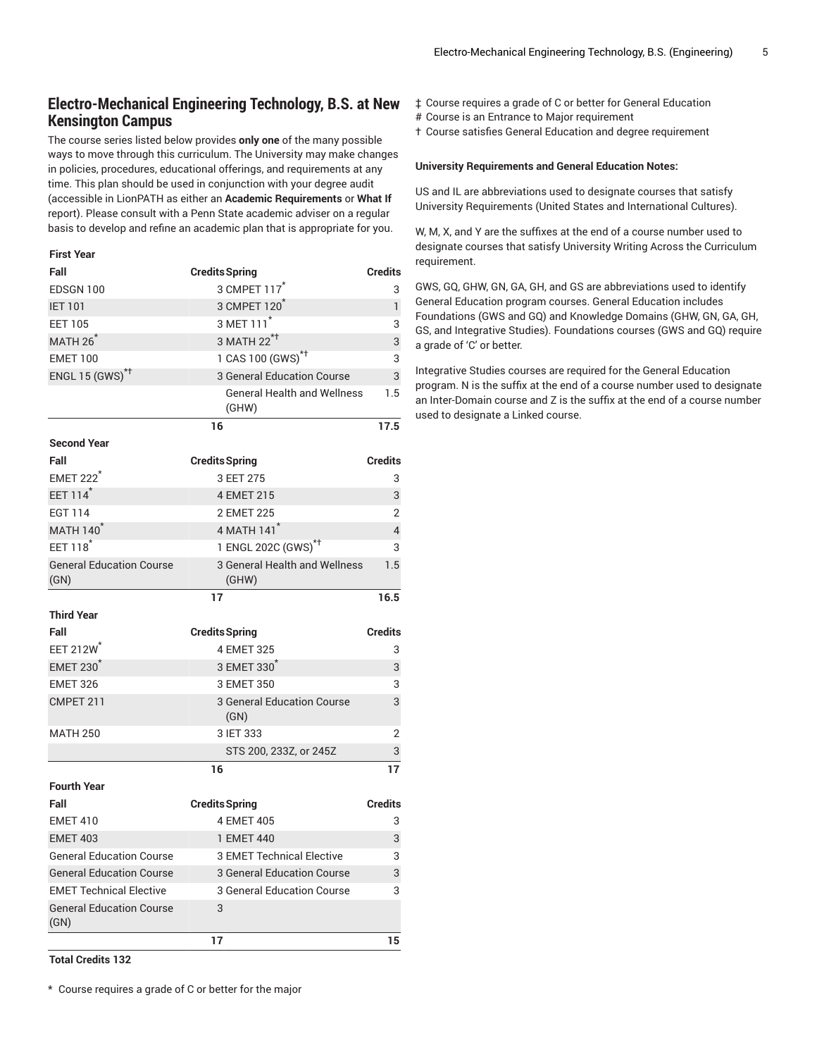## **Electro-Mechanical Engineering Technology, B.S. at New Kensington Campus**

The course series listed below provides **only one** of the many possible ways to move through this curriculum. The University may make changes in policies, procedures, educational offerings, and requirements at any time. This plan should be used in conjunction with your degree audit (accessible in LionPATH as either an **Academic Requirements** or **What If** report). Please consult with a Penn State academic adviser on a regular basis to develop and refine an academic plan that is appropriate for you.

#### **First Year**

| Fall                                    | <b>Credits Spring</b>                       | <b>Credits</b> |
|-----------------------------------------|---------------------------------------------|----------------|
| EDSGN 100                               | 3 CMPET 117 <sup>*</sup>                    | 3              |
| <b>IET 101</b>                          | 3 CMPET 120                                 | $\mathbf{1}$   |
| <b>EET 105</b>                          | 3 MET 111 <sup>*</sup>                      | 3              |
| MATH 26 <sup>*</sup>                    | 3 MATH 22 <sup>*†</sup>                     | 3              |
| <b>EMET 100</b>                         | 1 CAS 100 (GWS) <sup>*†</sup>               | 3              |
| ENGL 15 (GWS) <sup>*†</sup>             | 3 General Education Course                  | 3              |
|                                         | <b>General Health and Wellness</b><br>(GHW) | 1.5            |
|                                         | 16                                          | 17.5           |
| <b>Second Year</b>                      |                                             |                |
| Fall                                    | <b>Credits Spring</b>                       | <b>Credits</b> |
| <b>EMET 222<sup>*</sup></b>             | 3 EET 275                                   | 3              |
| EET 114 <sup>*</sup>                    | 4 EMET 215                                  | 3              |
| <b>EGT 114</b>                          | 2 EMET 225                                  | $\overline{2}$ |
| <b>MATH 140</b>                         | 4 MATH 141 <sup>*</sup>                     | 4              |
| EET 118 <sup>*</sup>                    | 1 ENGL 202C (GWS) <sup>*†</sup>             | 3              |
| <b>General Education Course</b><br>(GN) | 3 General Health and Wellness<br>(GHW)      | 1.5            |
|                                         | 17                                          | 16.5           |
| <b>Third Year</b>                       |                                             |                |
| Fall                                    | <b>Credits Spring</b>                       | <b>Credits</b> |
| EET 212W                                | 4 EMET 325                                  | 3              |
| <b>EMET 230<sup>1</sup></b>             | 3 EMET 330                                  | 3              |
| <b>EMET 326</b>                         | 3 EMET 350                                  | 3              |
| CMPET 211                               | 3 General Education Course<br>(GN)          | 3              |
| <b>MATH 250</b>                         | 3 IET 333                                   | $\overline{2}$ |
|                                         | STS 200, 233Z, or 245Z                      | 3              |
|                                         | 16                                          | 17             |
| <b>Fourth Year</b>                      |                                             |                |
| Fall                                    | <b>Credits Spring</b>                       | <b>Credits</b> |
| <b>EMET 410</b>                         | 4 EMET 405                                  | 3              |
| <b>EMET 403</b>                         | 1 EMET 440                                  | 3              |
| <b>General Education Course</b>         | <b>3 EMET Technical Elective</b>            | 3              |
| <b>General Education Course</b>         | <b>3 General Education Course</b>           | 3              |
| <b>EMET Technical Elective</b>          | 3 General Education Course                  | 3              |
|                                         |                                             |                |
| <b>General Education Course</b><br>(GN) | 3<br>17                                     | 15             |

- ‡ Course requires a grade of C or better for General Education
- # Course is an Entrance to Major requirement
- † Course satisfies General Education and degree requirement

#### **University Requirements and General Education Notes:**

US and IL are abbreviations used to designate courses that satisfy University Requirements (United States and International Cultures).

W, M, X, and Y are the suffixes at the end of a course number used to designate courses that satisfy University Writing Across the Curriculum requirement.

GWS, GQ, GHW, GN, GA, GH, and GS are abbreviations used to identify General Education program courses. General Education includes Foundations (GWS and GQ) and Knowledge Domains (GHW, GN, GA, GH, GS, and Integrative Studies). Foundations courses (GWS and GQ) require a grade of 'C' or better.

Integrative Studies courses are required for the General Education program. N is the suffix at the end of a course number used to designate an Inter-Domain course and Z is the suffix at the end of a course number used to designate a Linked course.

**Total Credits 132**

\* Course requires a grade of C or better for the major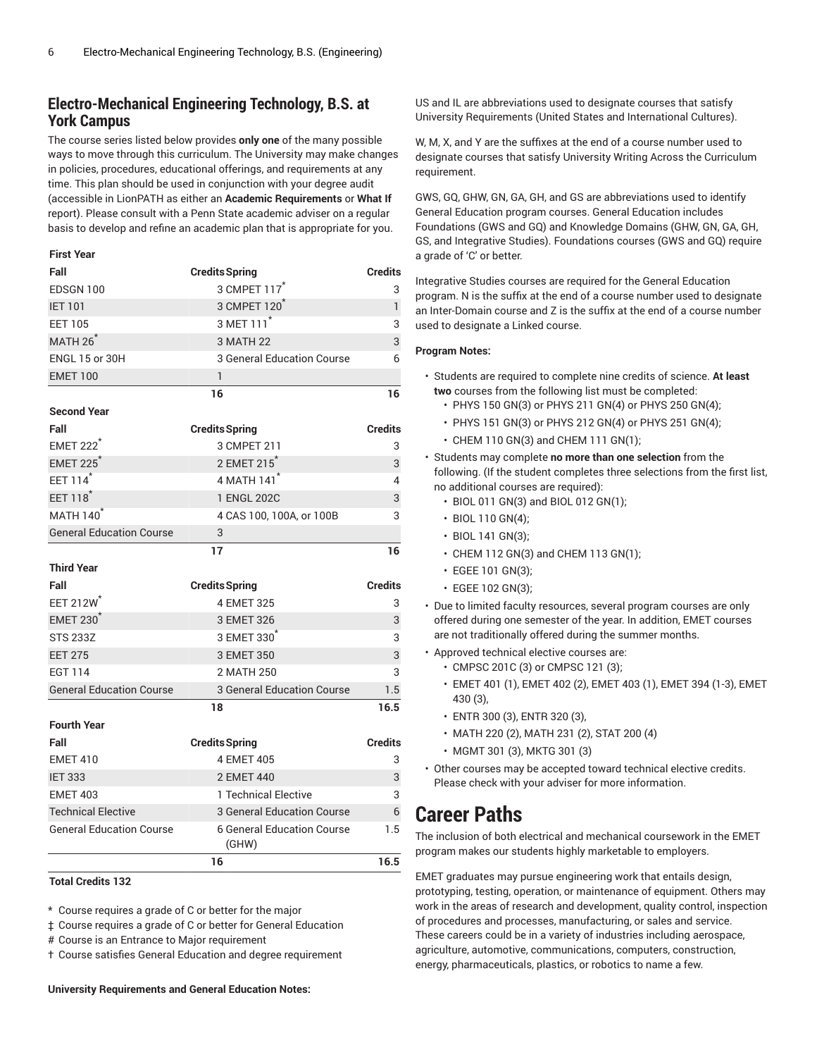### **Electro-Mechanical Engineering Technology, B.S. at York Campus**

The course series listed below provides **only one** of the many possible ways to move through this curriculum. The University may make changes in policies, procedures, educational offerings, and requirements at any time. This plan should be used in conjunction with your degree audit (accessible in LionPATH as either an **Academic Requirements** or **What If** report). Please consult with a Penn State academic adviser on a regular basis to develop and refine an academic plan that is appropriate for you.

#### **First Year**

| <b>Credits Spring</b>                      | <b>Credits</b> |
|--------------------------------------------|----------------|
| 3 CMPET 117 <sup>*</sup>                   | 3              |
| 3 CMPET 120                                | $\mathbf{1}$   |
| 3 MET 111 <sup>*</sup>                     | 3              |
| 3 MATH 22                                  | 3              |
| <b>3 General Education Course</b>          | 6              |
| 1                                          |                |
| 16                                         | 16             |
|                                            |                |
| <b>Credits Spring</b>                      | <b>Credits</b> |
| 3 CMPET 211                                | 3              |
| 2 EMET 215 <sup>*</sup>                    | 3              |
| 4 MATH 141 <sup>*</sup>                    | 4              |
| 1 ENGL 202C                                | 3              |
| 4 CAS 100, 100A, or 100B                   | 3              |
| 3                                          |                |
| 17                                         | 16             |
|                                            |                |
| <b>Credits Spring</b>                      | <b>Credits</b> |
| 4 EMET 325                                 |                |
|                                            | 3              |
| 3 EMET 326                                 | 3              |
| 3 EMET 330                                 | 3              |
| 3 EMET 350                                 | 3              |
| 2 MATH 250                                 | 3              |
| <b>3 General Education Course</b>          | 1.5            |
| 18                                         | 16.5           |
|                                            |                |
| <b>Credits Spring</b>                      | <b>Credits</b> |
| 4 EMET 405                                 | 3              |
| 2 EMET 440                                 | 3              |
| 1 Technical Elective                       | 3              |
| 3 General Education Course                 | 6              |
| <b>6 General Education Course</b><br>(GHW) | 1.5            |
|                                            |                |

### **Total Credits 132**

\* Course requires a grade of C or better for the major

‡ Course requires a grade of C or better for General Education

# Course is an Entrance to Major requirement

† Course satisfies General Education and degree requirement

**University Requirements and General Education Notes:**

US and IL are abbreviations used to designate courses that satisfy University Requirements (United States and International Cultures).

W, M, X, and Y are the suffixes at the end of a course number used to designate courses that satisfy University Writing Across the Curriculum requirement.

GWS, GQ, GHW, GN, GA, GH, and GS are abbreviations used to identify General Education program courses. General Education includes Foundations (GWS and GQ) and Knowledge Domains (GHW, GN, GA, GH, GS, and Integrative Studies). Foundations courses (GWS and GQ) require a grade of 'C' or better.

Integrative Studies courses are required for the General Education program. N is the suffix at the end of a course number used to designate an Inter-Domain course and Z is the suffix at the end of a course number used to designate a Linked course.

#### **Program Notes:**

- Students are required to complete nine credits of science. **At least two** courses from the following list must be completed:
	- PHYS 150 GN(3) or PHYS 211 GN(4) or PHYS 250 GN(4);
	- PHYS 151 GN(3) or PHYS 212 GN(4) or PHYS 251 GN(4);
	- CHEM 110 GN(3) and CHEM 111 GN(1);
- Students may complete **no more than one selection** from the following. (If the student completes three selections from the first list, no additional courses are required):
	- BIOL 011 GN(3) and BIOL 012 GN(1);
	- BIOL 110 GN(4);
	- BIOL 141 GN(3);
	- CHEM 112 GN(3) and CHEM 113 GN(1);
	- EGEE 101 GN(3);
	- EGEE 102 GN(3);
- Due to limited faculty resources, several program courses are only offered during one semester of the year. In addition, EMET courses are not traditionally offered during the summer months.
- Approved technical elective courses are:
	- CMPSC 201C (3) or CMPSC 121 (3);
	- EMET 401 (1), EMET 402 (2), EMET 403 (1), EMET 394 (1-3), EMET 430 (3),
	- ENTR 300 (3), ENTR 320 (3),
	- MATH 220 (2), MATH 231 (2), STAT 200 (4)
	- MGMT 301 (3), MKTG 301 (3)
- Other courses may be accepted toward technical elective credits. Please check with your adviser for more information.

## **Career Paths**

The inclusion of both electrical and mechanical coursework in the EMET program makes our students highly marketable to employers.

EMET graduates may pursue engineering work that entails design, prototyping, testing, operation, or maintenance of equipment. Others may work in the areas of research and development, quality control, inspection of procedures and processes, manufacturing, or sales and service. These careers could be in a variety of industries including aerospace, agriculture, automotive, communications, computers, construction, energy, pharmaceuticals, plastics, or robotics to name a few.